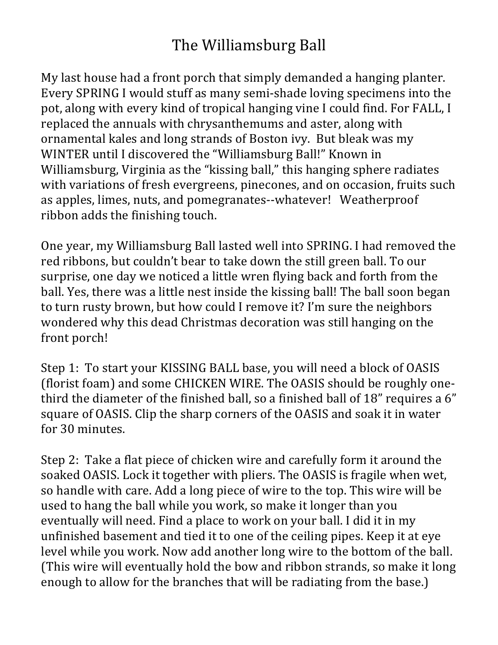## The Williamsburg Ball

My last house had a front porch that simply demanded a hanging planter. Every SPRING I would stuff as many semi-shade loving specimens into the pot, along with every kind of tropical hanging vine I could find. For FALL, I replaced the annuals with chrysanthemums and aster, along with ornamental kales and long strands of Boston ivy. But bleak was my WINTER until I discovered the "Williamsburg Ball!" Known in Williamsburg, Virginia as the "kissing ball," this hanging sphere radiates with variations of fresh evergreens, pinecones, and on occasion, fruits such as apples, limes, nuts, and pomegranates--whatever! Weatherproof ribbon adds the finishing touch.

One year, my Williamsburg Ball lasted well into SPRING. I had removed the red ribbons, but couldn't bear to take down the still green ball. To our surprise, one day we noticed a little wren flying back and forth from the ball. Yes, there was a little nest inside the kissing ball! The ball soon began to turn rusty brown, but how could I remove it? I'm sure the neighbors wondered why this dead Christmas decoration was still hanging on the front porch!

Step 1: To start your KISSING BALL base, you will need a block of OASIS (florist foam) and some CHICKEN WIRE. The OASIS should be roughly onethird the diameter of the finished ball, so a finished ball of  $18$ " requires a  $6$ " square of OASIS. Clip the sharp corners of the OASIS and soak it in water for 30 minutes.

Step 2: Take a flat piece of chicken wire and carefully form it around the soaked OASIS. Lock it together with pliers. The OASIS is fragile when wet, so handle with care. Add a long piece of wire to the top. This wire will be used to hang the ball while you work, so make it longer than you eventually will need. Find a place to work on your ball. I did it in my unfinished basement and tied it to one of the ceiling pipes. Keep it at eye level while you work. Now add another long wire to the bottom of the ball. (This wire will eventually hold the bow and ribbon strands, so make it long enough to allow for the branches that will be radiating from the base.)